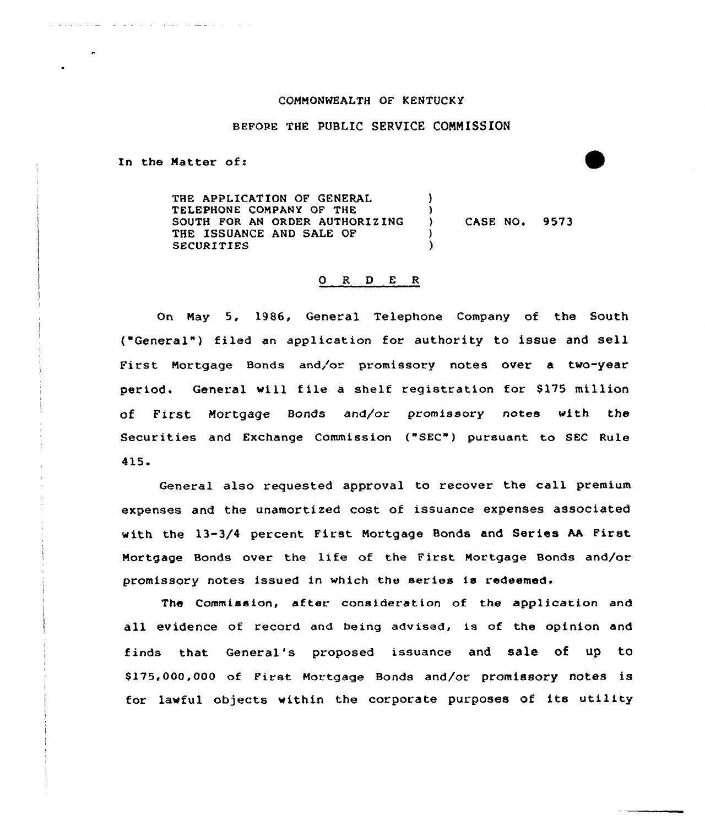## CONNONHEALTH OF KENTUCKY

## BEFORE THE PUBLIC SERVICE CONNISSION

In the Natter of:

THE APPLICATION OF GENERAL TELEPHONE CONPANY OF THE SOUTH FOR AN ORDER AUTHORIZING THE ISSUANCE AND SALE OF SECURITIES ) ) ) CASE NO. 9573 ) )

## O R D E R

On Nay 5, 1986, General Telephone Company of the South ("General") filed an application for authority to issue and sell First Mortgage Bonds and/or promissory notes over a two-year period. General will file a shelf registration for \$175 million of First Mortgage Bonds and/or promissory notes with the Securities and Exchange Commission ("SEC") pursuant to SEC Rule 415.

General also requested approval to recover the call premium expenses and the unamortized cost of issuance expenses associated with the 13-3/4 percent First Nortgage Bonds and Series AA First Nortgage Bonds over the life of the First Nortgage Bonds and/or promissory notes issued in which the series is redeemed.

The Commission, after consideration of the application and all evidence of record and being advised, is of the opinion and finds that General's proposed issuance and sale of up to \$ 175,000,000 of First Mortgage Bonds and/or promissory notes is for lawful objects within the corporate purposes of its utility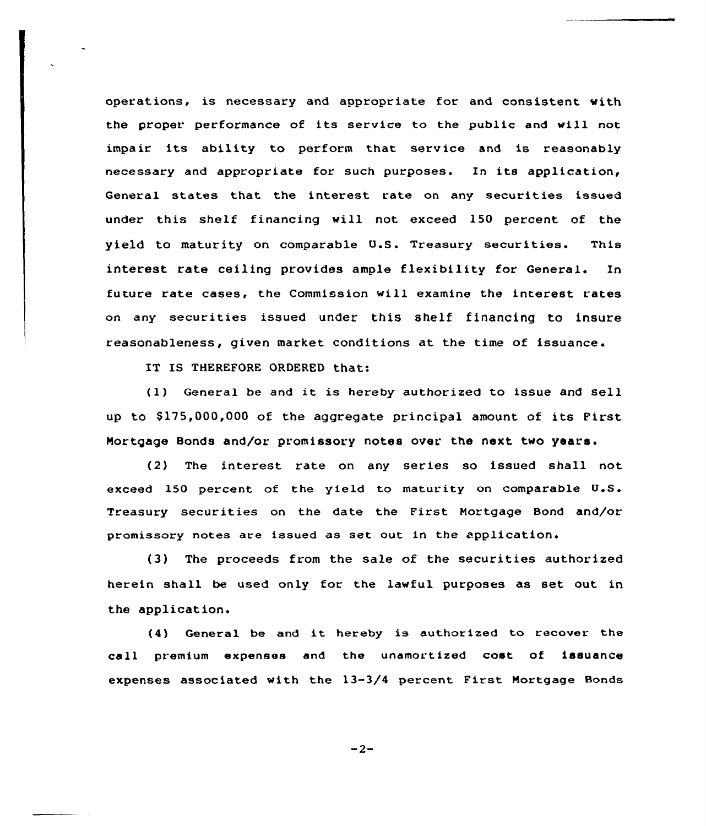operations, is necessary and appropriate for and consistent with the proper performance of its service to the public and will not impair its ability to perform that service and is reasonably necessary and appropriate for such purposes. In its application, General states that the interest rate on any securities issued under this shelf financing vill not exceed 150 percent of the yield to maturity on comparable U.S. Treasury securities. This interest rate ceiling provides ample flexibility for General. In future rate cases, the Commission will examine the interest rates on any securities issued under this shelf financing to insure reasonableness, given market conditions at the time of issuance.

IT IS THEREFORE ORDERED that:

(1) General be and it is hereby authorized to issue and sell up to \$175,000,000 of the aggregate principal amount of its First Mortgage Bonds and/or promissory notes over. the next two years.

(2) The interest rate on any series so issued shall not exceed 150 percent of the yield to maturity on comparable U.S. Treasury securities on the date the First Mortgage Bond and/or promissory notes are issued as set out in the application.

(3) The proceeds from the sale of the securities authorized herein shall be used only for the lawful purposes as set out in the application.

(4) General be and it hereby is authorized to recover the cell premium expenses and the unamortized cost of issuance expenses associated vith the 13-3/4 percent First Mortgage Bonds

 $-2-$